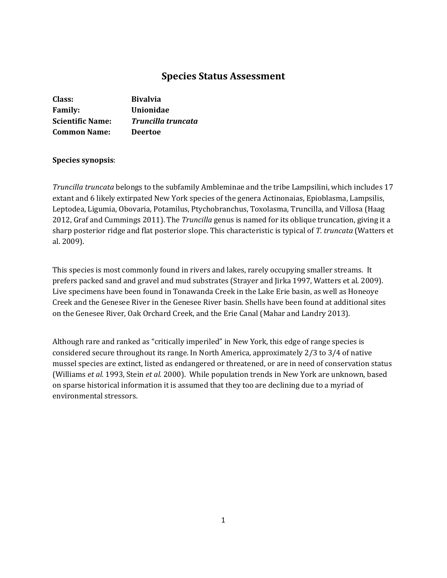# **Species Status Assessment**

| Class:                  | <b>Bivalvia</b>    |
|-------------------------|--------------------|
| <b>Family:</b>          | Unionidae          |
| <b>Scientific Name:</b> | Truncilla truncata |
| <b>Common Name:</b>     | <b>Deertoe</b>     |

### **Species synopsis**:

*Truncilla truncata* belongs to the subfamily Ambleminae and the tribe Lampsilini, which includes 17 extant and 6 likely extirpated New York species of the genera Actinonaias, Epioblasma, Lampsilis, Leptodea, Ligumia, Obovaria, Potamilus, Ptychobranchus, Toxolasma, Truncilla, and Villosa (Haag 2012, Graf and Cummings 2011). The *Truncilla* genus is named for its oblique truncation, giving it a sharp posterior ridge and flat posterior slope. This characteristic is typical of *T. truncata* (Watters et al. 2009).

This species is most commonly found in rivers and lakes, rarely occupying smaller streams. It prefers packed sand and gravel and mud substrates (Strayer and Jirka 1997, Watters et al. 2009). Live specimens have been found in Tonawanda Creek in the Lake Erie basin, as well as Honeoye Creek and the Genesee River in the Genesee River basin. Shells have been found at additional sites on the Genesee River, Oak Orchard Creek, and the Erie Canal (Mahar and Landry 2013).

Although rare and ranked as "critically imperiled" in New York, this edge of range species is considered secure throughout its range. In North America, approximately 2/3 to 3/4 of native mussel species are extinct, listed as endangered or threatened, or are in need of conservation status (Williams *et al.* 1993, Stein *et al.* 2000). While population trends in New York are unknown, based on sparse historical information it is assumed that they too are declining due to a myriad of environmental stressors.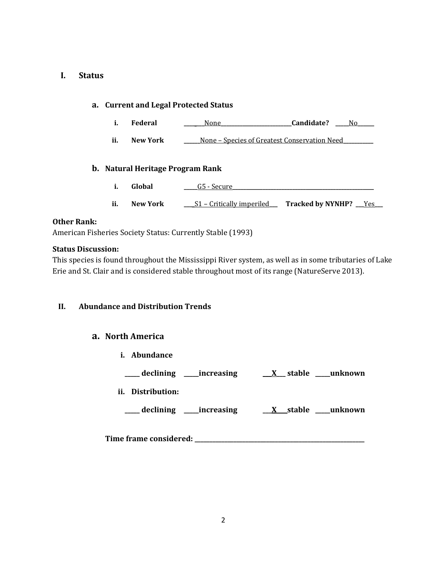### **I. Status**

### **a. Current and Legal Protected Status**

- **i. Federal \_\_\_\_ \_\_\_**None**\_\_\_\_\_\_\_\_\_\_\_\_\_\_\_\_\_\_\_\_\_\_\_\_\_\_Candidate? \_\_\_\_\_**No**\_\_\_\_\_\_**
- **ii. New York \_\_\_\_\_\_**None Species of Greatest Conservation Need**\_\_\_\_\_\_\_\_\_\_\_**

### **b. Natural Heritage Program Rank**

- **i. Global \_\_\_\_\_**G5 Secure**\_\_\_\_\_\_\_\_\_\_\_\_\_\_\_\_\_\_\_\_\_\_\_\_\_\_\_\_\_\_\_\_\_\_\_\_\_\_\_\_\_\_\_\_\_\_\_\_\_\_\_\_**
- **ii. New York \_\_\_**\_S1 Critically imperiled**\_\_\_ Tracked by NYNHP? \_\_\_**Yes**\_\_\_**

### **Other Rank:**

American Fisheries Society Status: Currently Stable (1993)

### **Status Discussion:**

This species is found throughout the Mississippi River system, as well as in some tributaries of Lake Erie and St. Clair and is considered stable throughout most of its range (NatureServe 2013).

### **II. Abundance and Distribution Trends**

### **a. North America**

- **i. Abundance**
- **\_\_\_\_\_ declining \_\_\_\_\_increasing \_\_\_X\_\_\_ stable \_\_\_\_\_unknown**
- **ii. Distribution:**
	- **\_\_\_\_\_ declining \_\_\_\_\_increasing \_\_\_X\_\_\_ stable \_\_\_\_\_unknown**

**Time frame considered: \_\_\_\_\_\_\_\_\_\_\_\_\_\_\_\_\_\_\_\_\_\_\_\_\_\_\_\_\_\_\_\_\_\_\_\_\_\_\_\_\_\_\_\_\_\_\_\_\_\_\_\_\_\_\_\_\_**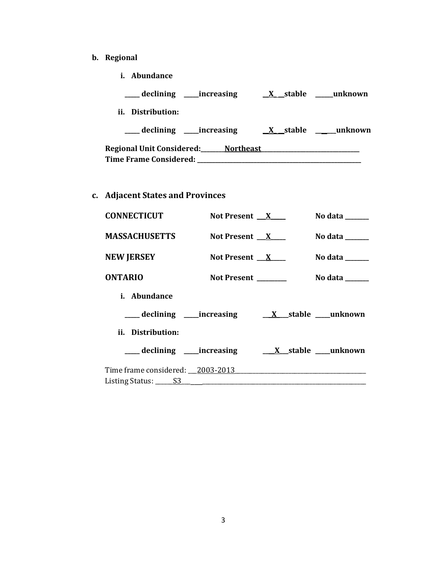- **b. Regional** 
	- **i. Abundance**

| declining _____increasing           | X stable               | unknown |
|-------------------------------------|------------------------|---------|
| Distribution:<br>ii.                |                        |         |
| declining _____increasing           | stable<br>$\mathbf{X}$ | unknown |
| Regional Unit Considered: Northeast |                        |         |
| <b>Time Frame Considered:</b>       |                        |         |

**c. Adjacent States and Provinces**

| <b>CONNECTICUT</b>                      | Not Present $X$      |                  | No data ______                  |
|-----------------------------------------|----------------------|------------------|---------------------------------|
| <b>MASSACHUSETTS</b>                    | Not Present $X$      |                  | No data $\_\_\_\_\_\_\_\_\_\_\$ |
| <b>NEW JERSEY</b>                       | Not Present $X$      |                  | No data $\_\_\_\_\_\_\_\_\_\_\$ |
| <b>ONTARIO</b>                          | Not Present ________ |                  | No data $\_\_\_\_\_\_\_\_\_\_\$ |
| i. Abundance                            |                      |                  |                                 |
|                                         |                      |                  |                                 |
| ii. Distribution:                       |                      |                  |                                 |
| ____ declining _____ increasing         |                      | X stable unknown |                                 |
| Time frame considered: 2003-2013        |                      |                  |                                 |
| Listing Status: $\underline{\qquad S3}$ |                      |                  |                                 |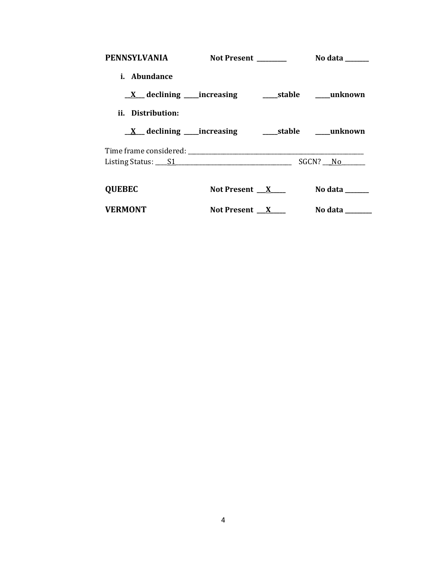| <b>PENNSYLVANIA</b>                    | Not Present _______ | No data $\_\_\_\_\_\_\_\_\_\_\_\$ |
|----------------------------------------|---------------------|-----------------------------------|
| i. Abundance                           |                     |                                   |
|                                        |                     |                                   |
| ii. Distribution:                      |                     |                                   |
|                                        |                     |                                   |
|                                        |                     |                                   |
| Listing Status: $\underline{\quad S1}$ |                     | $SGCN?$ No $\qquad$               |
| <b>QUEBEC</b>                          | Not Present $X$     | No data ______                    |
| <b>VERMONT</b>                         | Not Present $X$     | No data $\_\_\_\_\_\_\_\_\_\_\_\$ |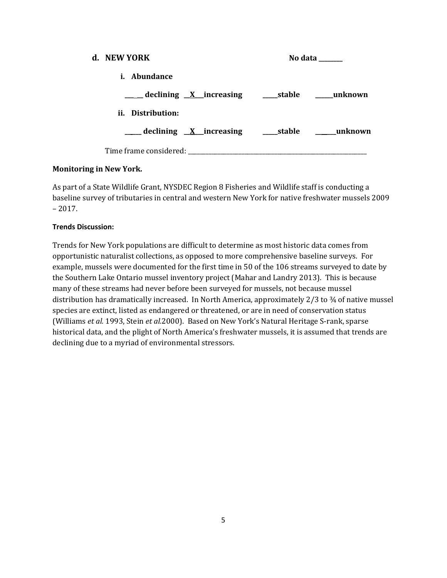| d. NEW YORK                                                 | No data ______ |
|-------------------------------------------------------------|----------------|
| <i>i.</i> Abundance                                         |                |
| ____ declining <u>X</u> increasing ____ stable ____ unknown |                |
| ii. Distribution:                                           |                |
|                                                             |                |
|                                                             |                |

# **Monitoring in New York.**

As part of a State Wildlife Grant, NYSDEC Region 8 Fisheries and Wildlife staff is conducting a baseline survey of tributaries in central and western New York for native freshwater mussels 2009  $-2017.$ 

### **Trends Discussion:**

Trends for New York populations are difficult to determine as most historic data comes from opportunistic naturalist collections, as opposed to more comprehensive baseline surveys. For example, mussels were documented for the first time in 50 of the 106 streams surveyed to date by the Southern Lake Ontario mussel inventory project (Mahar and Landry 2013). This is because many of these streams had never before been surveyed for mussels, not because mussel distribution has dramatically increased. In North America, approximately 2/3 to ¾ of native mussel species are extinct, listed as endangered or threatened, or are in need of conservation status (Williams *et al.* 1993, Stein *et al.*2000). Based on New York's Natural Heritage S-rank, sparse historical data, and the plight of North America's freshwater mussels, it is assumed that trends are declining due to a myriad of environmental stressors.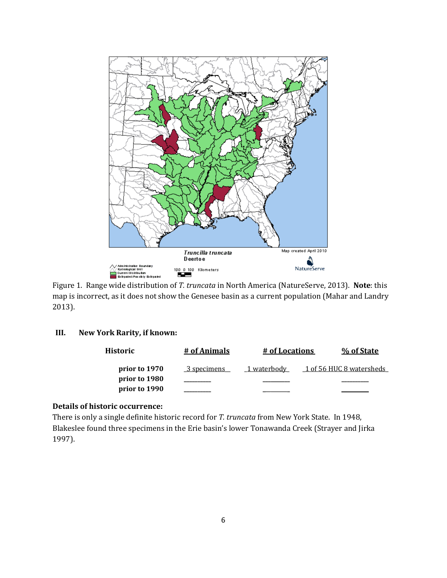

Figure 1. Range wide distribution of *T. truncata* in North America (NatureServe, 2013). **Note**: this map is incorrect, as it does not show the Genesee basin as a current population (Mahar and Landry 2013).

### **III. New York Rarity, if known:**

| Historic      | # of Animals | # of Locations | % of State               |
|---------------|--------------|----------------|--------------------------|
| prior to 1970 | 3 specimens  | 1 waterbody    | 1 of 56 HUC 8 watersheds |
| prior to 1980 |              |                |                          |
| prior to 1990 |              |                |                          |

### **Details of historic occurrence:**

There is only a single definite historic record for *T. truncata* from New York State. In 1948, Blakeslee found three specimens in the Erie basin's lower Tonawanda Creek (Strayer and Jirka 1997).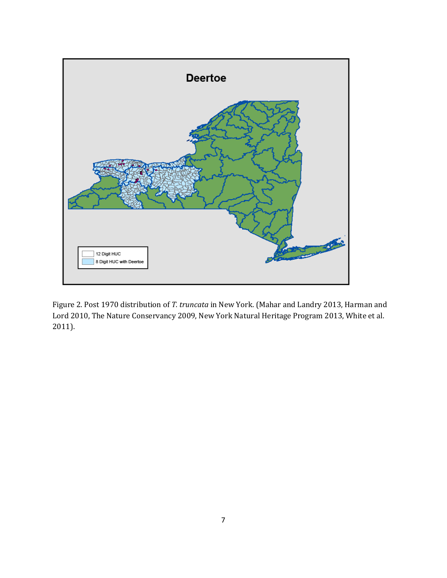

Figure 2. Post 1970 distribution of *T. truncata* in New York. (Mahar and Landry 2013, Harman and Lord 2010, The Nature Conservancy 2009, New York Natural Heritage Program 2013, White et al. 2011).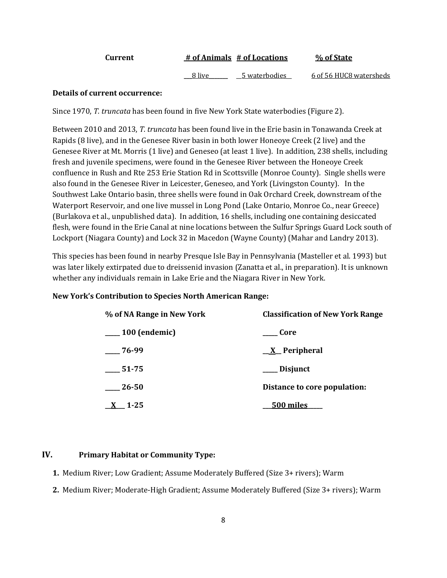| Current |        | # of Animals # of Locations | % of State              |
|---------|--------|-----------------------------|-------------------------|
|         | 8 live | 5 waterbodies               | 6 of 56 HUC8 watersheds |

### **Details of current occurrence:**

Since 1970, *T. truncata* has been found in five New York State waterbodies (Figure 2).

Between 2010 and 2013, *T. truncata* has been found live in the Erie basin in Tonawanda Creek at Rapids (8 live), and in the Genesee River basin in both lower Honeoye Creek (2 live) and the Genesee River at Mt. Morris (1 live) and Geneseo (at least 1 live). In addition, 238 shells, including fresh and juvenile specimens, were found in the Genesee River between the Honeoye Creek confluence in Rush and Rte 253 Erie Station Rd in Scottsville (Monroe County). Single shells were also found in the Genesee River in Leicester, Geneseo, and York (Livingston County). In the Southwest Lake Ontario basin, three shells were found in Oak Orchard Creek, downstream of the Waterport Reservoir, and one live mussel in Long Pond (Lake Ontario, Monroe Co., near Greece) (Burlakova et al., unpublished data). In addition, 16 shells, including one containing desiccated flesh, were found in the Erie Canal at nine locations between the Sulfur Springs Guard Lock south of Lockport (Niagara County) and Lock 32 in Macedon (Wayne County) (Mahar and Landry 2013).

This species has been found in nearby Presque Isle Bay in Pennsylvania (Masteller et al. 1993) but was later likely extirpated due to dreissenid invasion (Zanatta et al., in preparation). It is unknown whether any individuals remain in Lake Erie and the Niagara River in New York.

### **New York's Contribution to Species North American Range:**

| % of NA Range in New York | <b>Classification of New York Range</b> |
|---------------------------|-----------------------------------------|
| $\_\_100$ (endemic)       | Core                                    |
| $-76-99$                  | <u>X</u> Peripheral                     |
| 51-75                     | __ Disjunct                             |
| 26-50                     | Distance to core population:            |
| $1 - 25$                  | <u>500 miles</u>                        |

### **IV. Primary Habitat or Community Type:**

- **1.** Medium River; Low Gradient; Assume Moderately Buffered (Size 3+ rivers); Warm
- **2.** Medium River; Moderate-High Gradient; Assume Moderately Buffered (Size 3+ rivers); Warm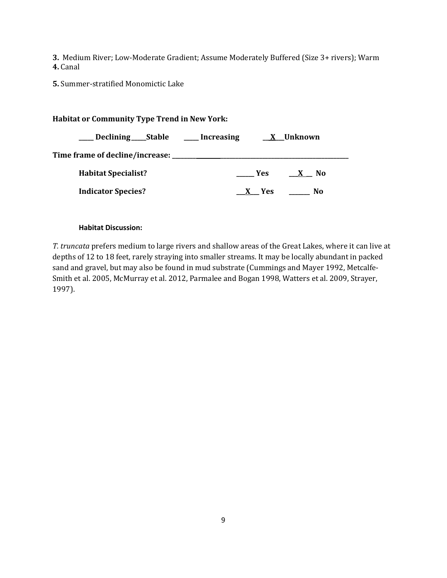**3.** Medium River; Low-Moderate Gradient; Assume Moderately Buffered (Size 3+ rivers); Warm **4.** Canal

**5.** Summer-stratified Monomictic Lake

# **Habitat or Community Type Trend in New York: \_\_\_\_\_ Declining\_\_\_\_\_Stable \_\_\_\_\_ Increasing \_\_ X\_\_\_Unknown Time frame of decline/increase: \_\_\_\_\_\_\_\_ \_\_\_\_\_\_\_\_\_\_\_\_\_\_\_\_\_\_\_\_\_\_\_\_\_\_\_\_\_\_\_\_\_\_\_\_\_\_\_\_\_\_\_ Habitat Specialist? \_\_\_\_\_\_ Yes \_\_\_X \_\_ No Indicator Species? \_\_\_X\_\_\_ Yes \_\_\_\_\_\_\_ No**

### **Habitat Discussion:**

*T. truncata* prefers medium to large rivers and shallow areas of the Great Lakes, where it can live at depths of 12 to 18 feet, rarely straying into smaller streams. It may be locally abundant in packed sand and gravel, but may also be found in mud substrate (Cummings and Mayer 1992, Metcalfe-Smith et al. 2005, McMurray et al. 2012, Parmalee and Bogan 1998, Watters et al. 2009, Strayer, 1997).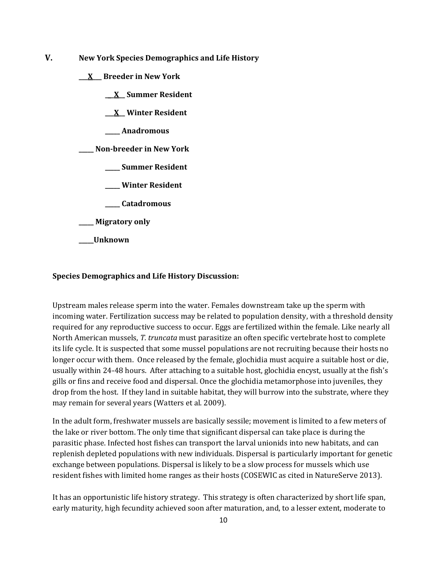- **V. New York Species Demographics and Life History**
	- **\_\_\_X\_\_\_ Breeder in New York**
		- **\_\_\_X\_\_ Summer Resident**

**\_\_\_X\_\_ Winter Resident**

**\_\_\_\_\_ Anadromous**

**\_\_\_\_\_ Non-breeder in New York**

- **\_\_\_\_\_ Summer Resident**
- **\_\_\_\_\_ Winter Resident**
- **\_\_\_\_\_ Catadromous**
- **\_\_\_\_\_ Migratory only**
- **\_\_\_\_\_Unknown**

### **Species Demographics and Life History Discussion:**

Upstream males release sperm into the water. Females downstream take up the sperm with incoming water. Fertilization success may be related to population density, with a threshold density required for any reproductive success to occur. Eggs are fertilized within the female. Like nearly all North American mussels, *T. truncata* must parasitize an often specific vertebrate host to complete its life cycle. It is suspected that some mussel populations are not recruiting because their hosts no longer occur with them. Once released by the female, glochidia must acquire a suitable host or die, usually within 24-48 hours. After attaching to a suitable host, glochidia encyst, usually at the fish's gills or fins and receive food and dispersal. Once the glochidia metamorphose into juveniles, they drop from the host. If they land in suitable habitat, they will burrow into the substrate, where they may remain for several years (Watters et al. 2009).

In the adult form, freshwater mussels are basically sessile; movement is limited to a few meters of the lake or river bottom. The only time that significant dispersal can take place is during the parasitic phase. Infected host fishes can transport the larval unionids into new habitats, and can replenish depleted populations with new individuals. Dispersal is particularly important for genetic exchange between populations. Dispersal is likely to be a slow process for mussels which use resident fishes with limited home ranges as their hosts (COSEWIC as cited in NatureServe 2013).

It has an opportunistic life history strategy. This strategy is often characterized by short life span, early maturity, high fecundity achieved soon after maturation, and, to a lesser extent, moderate to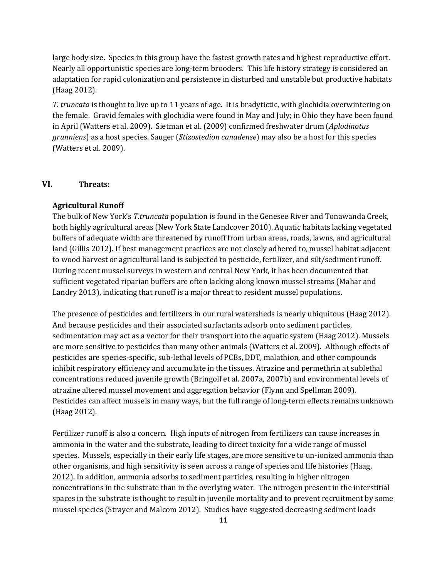large body size. Species in this group have the fastest growth rates and highest reproductive effort. Nearly all opportunistic species are long-term brooders. This life history strategy is considered an adaptation for rapid colonization and persistence in disturbed and unstable but productive habitats (Haag 2012).

*T. truncata* is thought to live up to 11 years of age. It is bradytictic, with glochidia overwintering on the female. Gravid females with glochidia were found in May and July; in Ohio they have been found in April (Watters et al. 2009). Sietman et al. (2009) confirmed freshwater drum (*Aplodinotus grunniens*) as a host species. Sauger (*Stizostedion canadense*) may also be a host for this species (Watters et al. 2009).

### **VI. Threats:**

#### **Agricultural Runoff**

The bulk of New York's *T.truncata* population is found in the Genesee River and Tonawanda Creek, both highly agricultural areas (New York State Landcover 2010). Aquatic habitats lacking vegetated buffers of adequate width are threatened by runoff from urban areas, roads, lawns, and agricultural land (Gillis 2012). If best management practices are not closely adhered to, mussel habitat adjacent to wood harvest or agricultural land is subjected to pesticide, fertilizer, and silt/sediment runoff. During recent mussel surveys in western and central New York, it has been documented that sufficient vegetated riparian buffers are often lacking along known mussel streams (Mahar and Landry 2013), indicating that runoff is a major threat to resident mussel populations.

The presence of pesticides and fertilizers in our rural watersheds is nearly ubiquitous (Haag 2012). And because pesticides and their associated surfactants adsorb onto sediment particles, sedimentation may act as a vector for their transport into the aquatic system (Haag 2012). Mussels are more sensitive to pesticides than many other animals (Watters et al. 2009). Although effects of pesticides are species-specific, sub-lethal levels of PCBs, DDT, malathion, and other compounds inhibit respiratory efficiency and accumulate in the tissues. Atrazine and permethrin at sublethal concentrations reduced juvenile growth (Bringolf et al. 2007a, 2007b) and environmental levels of atrazine altered mussel movement and aggregation behavior (Flynn and Spellman 2009). Pesticides can affect mussels in many ways, but the full range of long-term effects remains unknown (Haag 2012).

Fertilizer runoff is also a concern. High inputs of nitrogen from fertilizers can cause increases in ammonia in the water and the substrate, leading to direct toxicity for a wide range of mussel species. Mussels, especially in their early life stages, are more sensitive to un-ionized ammonia than other organisms, and high sensitivity is seen across a range of species and life histories (Haag, 2012). In addition, ammonia adsorbs to sediment particles, resulting in higher nitrogen concentrations in the substrate than in the overlying water. The nitrogen present in the interstitial spaces in the substrate is thought to result in juvenile mortality and to prevent recruitment by some mussel species (Strayer and Malcom 2012). Studies have suggested decreasing sediment loads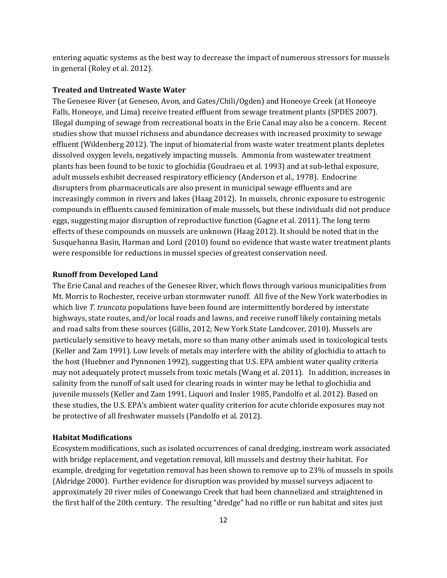entering aquatic systems as the best way to decrease the impact of numerous stressors for mussels in general (Roley et al. 2012).

#### **Treated and Untreated Waste Water**

The Genesee River (at Geneseo, Avon, and Gates/Chili/Ogden) and Honeoye Creek (at Honeoye Falls, Honeoye, and Lima) receive treated effluent from sewage treatment plants (SPDES 2007). Illegal dumping of sewage from recreational boats in the Erie Canal may also be a concern. Recent studies show that mussel richness and abundance decreases with increased proximity to sewage effluent (Wildenberg 2012). The input of biomaterial from waste water treatment plants depletes dissolved oxygen levels, negatively impacting mussels. Ammonia from wastewater treatment plants has been found to be toxic to glochidia (Goudraeu et al. 1993) and at sub-lethal exposure, adult mussels exhibit decreased respiratory efficiency (Anderson et al*.,* 1978). Endocrine disrupters from pharmaceuticals are also present in municipal sewage effluents and are increasingly common in rivers and lakes (Haag 2012). In mussels, chronic exposure to estrogenic compounds in effluents caused feminization of male mussels, but these individuals did not produce eggs, suggesting major disruption of reproductive function (Gagne et al. 2011). The long term effects of these compounds on mussels are unknown (Haag 2012). It should be noted that in the Susquehanna Basin, Harman and Lord (2010) found no evidence that waste water treatment plants were responsible for reductions in mussel species of greatest conservation need.

#### **Runoff from Developed Land**

The Erie Canal and reaches of the Genesee River, which flows through various municipalities from Mt. Morris to Rochester, receive urban stormwater runoff. All five of the New York waterbodies in which live *T. truncata* populations have been found are intermittently bordered by interstate highways, state routes, and/or local roads and lawns, and receive runoff likely containing metals and road salts from these sources (Gillis, 2012; New York State Landcover, 2010). Mussels are particularly sensitive to heavy metals, more so than many other animals used in toxicological tests (Keller and Zam 1991). Low levels of metals may interfere with the ability of glochidia to attach to the host (Huebner and Pynnonen 1992), suggesting that U.S. EPA ambient water quality criteria may not adequately protect mussels from toxic metals (Wang et al. 2011). In addition, increases in salinity from the runoff of salt used for clearing roads in winter may be lethal to glochidia and juvenile mussels (Keller and Zam 1991, Liquori and Insler 1985, Pandolfo et al. 2012). Based on these studies, the U.S. EPA's ambient water quality criterion for acute chloride exposures may not be protective of all freshwater mussels (Pandolfo et al. 2012).

### **Habitat Modifications**

Ecosystem modifications, such as isolated occurrences of canal dredging, instream work associated with bridge replacement, and vegetation removal, kill mussels and destroy their habitat. For example, dredging for vegetation removal has been shown to remove up to 23% of mussels in spoils (Aldridge 2000). Further evidence for disruption was provided by mussel surveys adjacent to approximately 20 river miles of Conewango Creek that had been channelized and straightened in the first half of the 20th century. The resulting "dredge" had no riffle or run habitat and sites just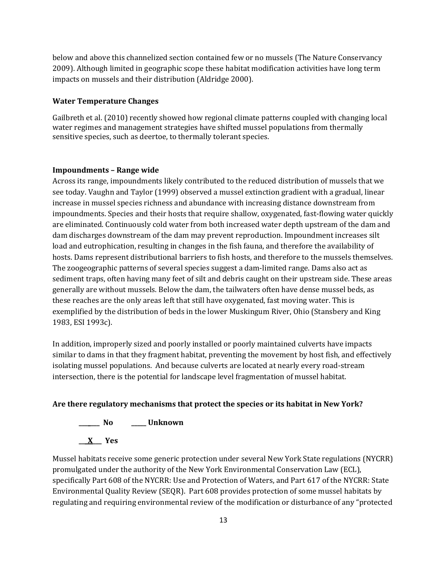below and above this channelized section contained few or no mussels (The Nature Conservancy 2009). Although limited in geographic scope these habitat modification activities have long term impacts on mussels and their distribution (Aldridge 2000).

### **Water Temperature Changes**

Gailbreth et al. (2010) recently showed how regional climate patterns coupled with changing local water regimes and management strategies have shifted mussel populations from thermally sensitive species, such as deertoe, to thermally tolerant species.

#### **Impoundments – Range wide**

Across its range, impoundments likely contributed to the reduced distribution of mussels that we see today. Vaughn and Taylor (1999) observed a mussel extinction gradient with a gradual, linear increase in mussel species richness and abundance with increasing distance downstream from impoundments. Species and their hosts that require shallow, oxygenated, fast-flowing water quickly are eliminated. Continuously cold water from both increased water depth upstream of the dam and dam discharges downstream of the dam may prevent reproduction. Impoundment increases silt load and eutrophication, resulting in changes in the fish fauna, and therefore the availability of hosts. Dams represent distributional barriers to fish hosts, and therefore to the mussels themselves. The zoogeographic patterns of several species suggest a dam-limited range. Dams also act as sediment traps, often having many feet of silt and debris caught on their upstream side. These areas generally are without mussels. Below the dam, the tailwaters often have dense mussel beds, as these reaches are the only areas left that still have oxygenated, fast moving water. This is exemplified by the distribution of beds in the lower Muskingum River, Ohio (Stansbery and King 1983, ESI 1993c).

In addition, improperly sized and poorly installed or poorly maintained culverts have impacts similar to dams in that they fragment habitat, preventing the movement by host fish, and effectively isolating mussel populations. And because culverts are located at nearly every road-stream intersection, there is the potential for landscape level fragmentation of mussel habitat.

### **Are there regulatory mechanisms that protect the species or its habitat in New York?**



Mussel habitats receive some generic protection under several New York State regulations (NYCRR) promulgated under the authority of the New York Environmental Conservation Law (ECL), specifically Part 608 of the NYCRR: Use and Protection of Waters, and Part 617 of the NYCRR: State Environmental Quality Review (SEQR). Part 608 provides protection of some mussel habitats by regulating and requiring environmental review of the modification or disturbance of any "protected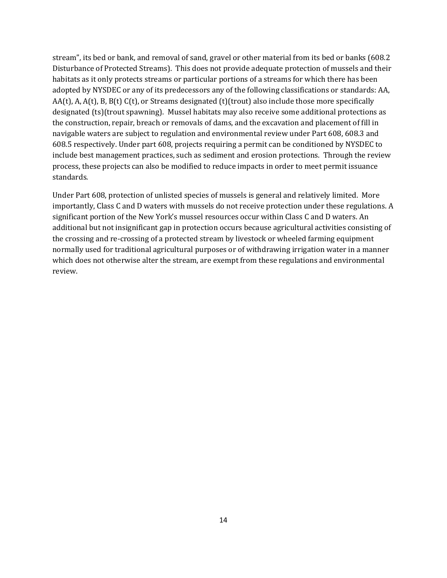stream", its bed or bank, and removal of sand, gravel or other material from its bed or banks (608.2 Disturbance of Protected Streams). This does not provide adequate protection of mussels and their habitats as it only protects streams or particular portions of a streams for which there has been adopted by NYSDEC or any of its predecessors any of the following classifications or standards: AA,  $AA(t)$ , A,  $A(t)$ , B,  $B(t)$  C(t), or Streams designated (t)(trout) also include those more specifically designated (ts)(trout spawning). Mussel habitats may also receive some additional protections as the construction, repair, breach or removals of dams, and the excavation and placement of fill in navigable waters are subject to regulation and environmental review under Part 608, 608.3 and 608.5 respectively. Under part 608, projects requiring a permit can be conditioned by NYSDEC to include best management practices, such as sediment and erosion protections. Through the review process, these projects can also be modified to reduce impacts in order to meet permit issuance standards.

Under Part 608, protection of unlisted species of mussels is general and relatively limited. More importantly, Class C and D waters with mussels do not receive protection under these regulations. A significant portion of the New York's mussel resources occur within Class C and D waters. An additional but not insignificant gap in protection occurs because agricultural activities consisting of the crossing and re-crossing of a protected stream by livestock or wheeled farming equipment normally used for traditional agricultural purposes or of withdrawing irrigation water in a manner which does not otherwise alter the stream, are exempt from these regulations and environmental review.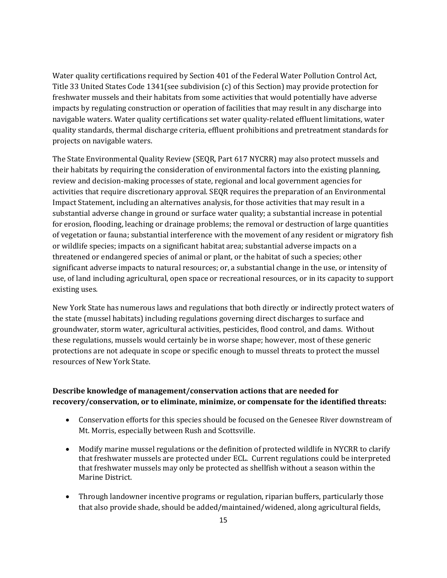Water quality certifications required by Section 401 of the Federal Water Pollution Control Act, Title 33 United States Code 1341(see subdivision (c) of this Section) may provide protection for freshwater mussels and their habitats from some activities that would potentially have adverse impacts by regulating construction or operation of facilities that may result in any discharge into navigable waters. Water quality certifications set water quality-related effluent limitations, water quality standards, thermal discharge criteria, effluent prohibitions and pretreatment standards for projects on navigable waters.

The State Environmental Quality Review (SEQR, Part 617 NYCRR) may also protect mussels and their habitats by requiring the consideration of environmental factors into the existing planning, review and decision-making processes of state, regional and local government agencies for activities that require discretionary approval. SEQR requires the preparation of an Environmental Impact Statement, including an alternatives analysis, for those activities that may result in a substantial adverse change in ground or surface water quality; a substantial increase in potential for erosion, flooding, leaching or drainage problems; the removal or destruction of large quantities of vegetation or fauna; substantial interference with the movement of any resident or migratory fish or wildlife species; impacts on a significant habitat area; substantial adverse impacts on a threatened or endangered species of animal or plant, or the habitat of such a species; other significant adverse impacts to natural resources; or, a substantial change in the use, or intensity of use, of land including agricultural, open space or recreational resources, or in its capacity to support existing uses.

New York State has numerous laws and regulations that both directly or indirectly protect waters of the state (mussel habitats) including regulations governing direct discharges to surface and groundwater, storm water, agricultural activities, pesticides, flood control, and dams. Without these regulations, mussels would certainly be in worse shape; however, most of these generic protections are not adequate in scope or specific enough to mussel threats to protect the mussel resources of New York State.

### **Describe knowledge of management/conservation actions that are needed for recovery/conservation, or to eliminate, minimize, or compensate for the identified threats:**

- Conservation efforts for this species should be focused on the Genesee River downstream of Mt. Morris, especially between Rush and Scottsville.
- Modify marine mussel regulations or the definition of protected wildlife in NYCRR to clarify that freshwater mussels are protected under ECL. Current regulations could be interpreted that freshwater mussels may only be protected as shellfish without a season within the Marine District.
- Through landowner incentive programs or regulation, riparian buffers, particularly those that also provide shade, should be added/maintained/widened, along agricultural fields,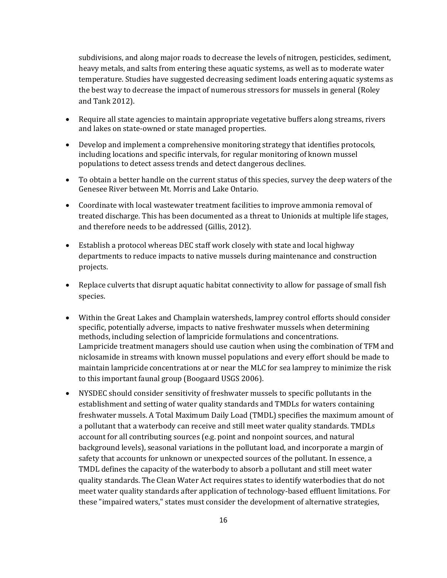subdivisions, and along major roads to decrease the levels of nitrogen, pesticides, sediment, heavy metals, and salts from entering these aquatic systems, as well as to moderate water temperature. Studies have suggested decreasing sediment loads entering aquatic systems as the best way to decrease the impact of numerous stressors for mussels in general (Roley and Tank 2012).

- Require all state agencies to maintain appropriate vegetative buffers along streams, rivers and lakes on state-owned or state managed properties.
- Develop and implement a comprehensive monitoring strategy that identifies protocols, including locations and specific intervals, for regular monitoring of known mussel populations to detect assess trends and detect dangerous declines.
- To obtain a better handle on the current status of this species, survey the deep waters of the Genesee River between Mt. Morris and Lake Ontario.
- Coordinate with local wastewater treatment facilities to improve ammonia removal of treated discharge. This has been documented as a threat to Unionids at multiple life stages, and therefore needs to be addressed (Gillis, 2012).
- Establish a protocol whereas DEC staff work closely with state and local highway departments to reduce impacts to native mussels during maintenance and construction projects.
- Replace culverts that disrupt aquatic habitat connectivity to allow for passage of small fish species.
- Within the Great Lakes and Champlain watersheds, lamprey control efforts should consider specific, potentially adverse, impacts to native freshwater mussels when determining methods, including selection of lampricide formulations and concentrations. Lampricide treatment managers should use caution when using the combination of TFM and niclosamide in streams with known mussel populations and every effort should be made to maintain lampricide concentrations at or near the MLC for sea lamprey to minimize the risk to this important faunal group (Boogaard USGS 2006).
- NYSDEC should consider sensitivity of freshwater mussels to specific pollutants in the establishment and setting of water quality standards and TMDLs for waters containing freshwater mussels. A Total Maximum Daily Load (TMDL) specifies the maximum amount of a pollutant that a waterbody can receive and still meet water quality standards. TMDLs account for all contributing sources (e.g. point and nonpoint sources, and natural background levels), seasonal variations in the pollutant load, and incorporate a margin of safety that accounts for unknown or unexpected sources of the pollutant. In essence, a TMDL defines the capacity of the waterbody to absorb a pollutant and still meet water quality standards. The Clean Water Act requires states to identify waterbodies that do not meet water quality standards after application of technology-based effluent limitations. For these "impaired waters," states must consider the development of alternative strategies,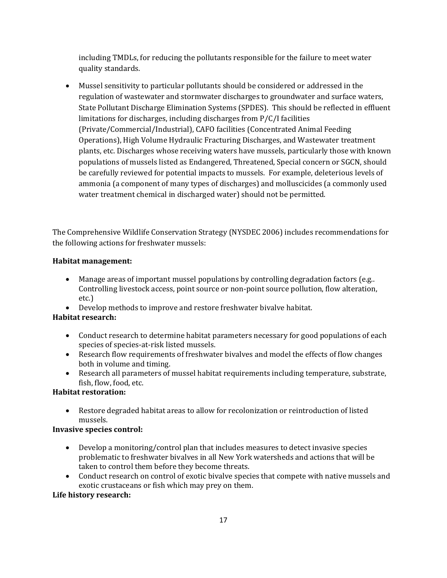including TMDLs, for reducing the pollutants responsible for the failure to meet water quality standards.

• Mussel sensitivity to particular pollutants should be considered or addressed in the regulation of wastewater and stormwater discharges to groundwater and surface waters, State Pollutant Discharge Elimination Systems (SPDES). This should be reflected in effluent limitations for discharges, including discharges from P/C/I facilities (Private/Commercial/Industrial), CAFO facilities (Concentrated Animal Feeding Operations), High Volume Hydraulic Fracturing Discharges, and Wastewater treatment plants, etc. Discharges whose receiving waters have mussels, particularly those with known populations of mussels listed as Endangered, Threatened, Special concern or SGCN, should be carefully reviewed for potential impacts to mussels. For example, deleterious levels of ammonia (a component of many types of discharges) and molluscicides (a commonly used water treatment chemical in discharged water) should not be permitted.

The Comprehensive Wildlife Conservation Strategy (NYSDEC 2006) includes recommendations for the following actions for freshwater mussels:

### **Habitat management:**

- Manage areas of important mussel populations by controlling degradation factors (e.g..) Controlling livestock access, point source or non-point source pollution, flow alteration, etc.)
- Develop methods to improve and restore freshwater bivalve habitat.

### **Habitat research:**

- Conduct research to determine habitat parameters necessary for good populations of each species of species-at-risk listed mussels.
- Research flow requirements of freshwater bivalves and model the effects of flow changes both in volume and timing.
- Research all parameters of mussel habitat requirements including temperature, substrate, fish, flow, food, etc.

### **Habitat restoration:**

• Restore degraded habitat areas to allow for recolonization or reintroduction of listed mussels.

### **Invasive species control:**

- Develop a monitoring/control plan that includes measures to detect invasive species problematic to freshwater bivalves in all New York watersheds and actions that will be taken to control them before they become threats.
- Conduct research on control of exotic bivalve species that compete with native mussels and exotic crustaceans or fish which may prey on them.

### **Life history research:**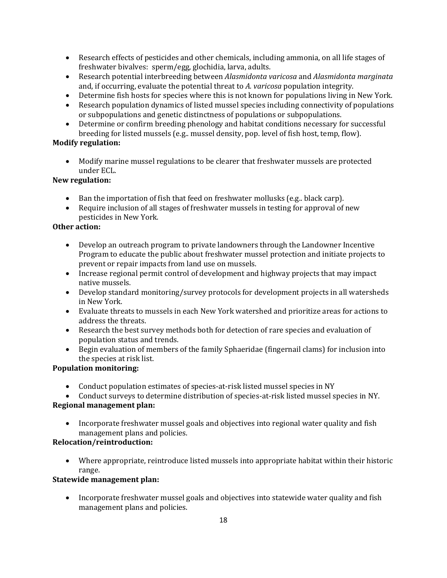- Research effects of pesticides and other chemicals, including ammonia, on all life stages of freshwater bivalves: sperm/egg, glochidia, larva, adults.
- Research potential interbreeding between *Alasmidonta varicosa* and *Alasmidonta marginata* and, if occurring, evaluate the potential threat to *A. varicosa* population integrity.
- Determine fish hosts for species where this is not known for populations living in New York.
- Research population dynamics of listed mussel species including connectivity of populations or subpopulations and genetic distinctness of populations or subpopulations.
- Determine or confirm breeding phenology and habitat conditions necessary for successful breeding for listed mussels (e.g.. mussel density, pop. level of fish host, temp, flow).

# **Modify regulation:**

• Modify marine mussel regulations to be clearer that freshwater mussels are protected under ECL.

### **New regulation:**

- Ban the importation of fish that feed on freshwater mollusks (e.g., black carp).
- Require inclusion of all stages of freshwater mussels in testing for approval of new pesticides in New York*.*

### **Other action:**

- Develop an outreach program to private landowners through the Landowner Incentive Program to educate the public about freshwater mussel protection and initiate projects to prevent or repair impacts from land use on mussels.
- Increase regional permit control of development and highway projects that may impact native mussels.
- Develop standard monitoring/survey protocols for development projects in all watersheds in New York.
- Evaluate threats to mussels in each New York watershed and prioritize areas for actions to address the threats.
- Research the best survey methods both for detection of rare species and evaluation of population status and trends.
- Begin evaluation of members of the family Sphaeridae (fingernail clams) for inclusion into the species at risk list.

### **Population monitoring:**

- Conduct population estimates of species-at-risk listed mussel species in NY
- Conduct surveys to determine distribution of species-at-risk listed mussel species in NY.

# **Regional management plan:**

• Incorporate freshwater mussel goals and objectives into regional water quality and fish management plans and policies.

### **Relocation/reintroduction:**

• Where appropriate, reintroduce listed mussels into appropriate habitat within their historic range.

# **Statewide management plan:**

• Incorporate freshwater mussel goals and objectives into statewide water quality and fish management plans and policies.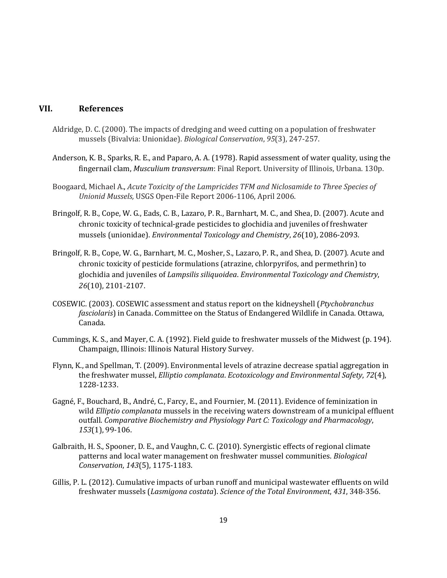### **VII. References**

- Aldridge, D. C. (2000). The impacts of dredging and weed cutting on a population of freshwater mussels (Bivalvia: Unionidae). *Biological Conservation*, *95*(3), 247-257.
- Anderson, K. B., Sparks, R. E., and Paparo, A. A. (1978). Rapid assessment of water quality, using the fingernail clam, *Musculium transversum*: Final Report. University of Illinois, Urbana. 130p.
- Boogaard, Michael A., *Acute Toxicity of the Lampricides TFM and Niclosamide to Three Species of Unionid Mussels,* USGS Open-File Report 2006-1106, April 2006.
- Bringolf, R. B., Cope, W. G., Eads, C. B., Lazaro, P. R., Barnhart, M. C., and Shea, D. (2007). Acute and chronic toxicity of technical‐grade pesticides to glochidia and juveniles of freshwater mussels (unionidae). *Environmental Toxicology and Chemistry*, *26*(10), 2086-2093.
- Bringolf, R. B., Cope, W. G., Barnhart, M. C., Mosher, S., Lazaro, P. R., and Shea, D. (2007). Acute and chronic toxicity of pesticide formulations (atrazine, chlorpyrifos, and permethrin) to glochidia and juveniles of *Lampsilis siliquoidea*. *Environmental Toxicology and Chemistry*, *26*(10), 2101-2107.
- COSEWIC. (2003). COSEWIC assessment and status report on the kidneyshell (*Ptychobranchus fasciolaris*) in Canada. Committee on the Status of Endangered Wildlife in Canada. Ottawa, Canada.
- Cummings, K. S., and Mayer, C. A. (1992). Field guide to freshwater mussels of the Midwest (p. 194). Champaign, Illinois: Illinois Natural History Survey.
- Flynn, K., and Spellman, T. (2009). Environmental levels of atrazine decrease spatial aggregation in the freshwater mussel, *Elliptio complanata*. *Ecotoxicology and Environmental Safety*, *72*(4), 1228-1233.
- Gagné, F., Bouchard, B., André, C., Farcy, E., and Fournier, M. (2011). Evidence of feminization in wild *Elliptio complanata* mussels in the receiving waters downstream of a municipal effluent outfall. *Comparative Biochemistry and Physiology Part C: Toxicology and Pharmacology*, *153*(1), 99-106.
- Galbraith, H. S., Spooner, D. E., and Vaughn, C. C. (2010). Synergistic effects of regional climate patterns and local water management on freshwater mussel communities. *Biological Conservation*, *143*(5), 1175-1183.
- Gillis, P. L. (2012). Cumulative impacts of urban runoff and municipal wastewater effluents on wild freshwater mussels (*Lasmigona costata*). *Science of the Total Environment*, *431*, 348-356.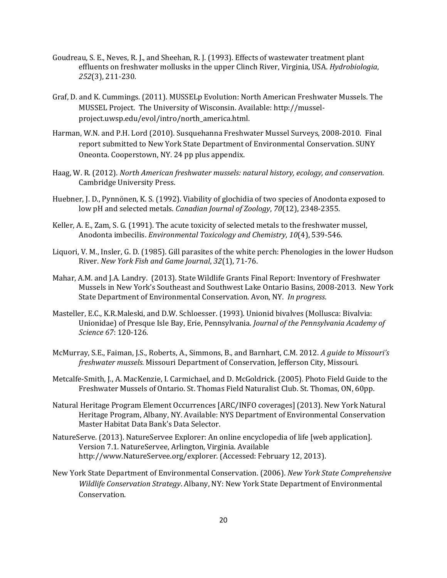- Goudreau, S. E., Neves, R. J., and Sheehan, R. J. (1993). Effects of wastewater treatment plant effluents on freshwater mollusks in the upper Clinch River, Virginia, USA. *Hydrobiologia*, *252*(3), 211-230.
- Graf, D. and K. Cummings. (2011). MUSSELp Evolution: North American Freshwater Mussels. The MUSSEL Project. The University of Wisconsin. Available: [http://mussel](http://mussel-project.uwsp.edu/evol/intro/north_america.html)[project.uwsp.edu/evol/intro/north\\_america.html.](http://mussel-project.uwsp.edu/evol/intro/north_america.html)
- Harman, W.N. and P.H. Lord (2010). Susquehanna Freshwater Mussel Surveys, 2008-2010. Final report submitted to New York State Department of Environmental Conservation. SUNY Oneonta. Cooperstown, NY. 24 pp plus appendix.
- Haag, W. R. (2012). *North American freshwater mussels: natural history, ecology, and conservation*. Cambridge University Press.
- Huebner, J. D., Pynnönen, K. S. (1992). Viability of glochidia of two species of Anodonta exposed to low pH and selected metals. *Canadian Journal of Zoology*, *70*(12), 2348-2355.
- Keller, A. E., Zam, S. G. (1991). The acute toxicity of selected metals to the freshwater mussel, Anodonta imbecilis. *Environmental Toxicology and Chemistry*, *10*(4), 539-546.
- Liquori, V. M., Insler, G. D. (1985). Gill parasites of the white perch: Phenologies in the lower Hudson River. *New York Fish and Game Journal*, *32*(1), 71-76.
- Mahar, A.M. and J.A. Landry. (2013). State Wildlife Grants Final Report: Inventory of Freshwater Mussels in New York's Southeast and Southwest Lake Ontario Basins, 2008-2013. New York State Department of Environmental Conservation. Avon, NY. *In progress*.
- Masteller, E.C., K.R.Maleski, and D.W. Schloesser. (1993). Unionid bivalves (Mollusca: Bivalvia: Unionidae) of Presque Isle Bay, Erie, Pennsylvania*. Journal of the Pennsylvania Academy of Science 67*: 120-126.
- McMurray, S.E., Faiman, J.S., Roberts, A., Simmons, B., and Barnhart, C.M. 2012. *A guide to Missouri's freshwater mussels.* Missouri Department of Conservation, Jefferson City, Missouri.
- Metcalfe-Smith, J., A. MacKenzie, I. Carmichael, and D. McGoldrick. (2005). Photo Field Guide to the Freshwater Mussels of Ontario. St. Thomas Field Naturalist Club. St. Thomas, ON, 60pp.
- Natural Heritage Program Element Occurrences [ARC/INFO coverages] (2013). New York Natural Heritage Program, Albany, NY. Available: NYS Department of Environmental Conservation Master Habitat Data Bank's Data Selector.
- NatureServe. (2013). NatureServee Explorer: An online encyclopedia of life [web application]. Version 7.1. NatureServee, Arlington, Virginia. Available http://www.NatureServee.org/explorer. (Accessed: February 12, 2013).
- New York State Department of Environmental Conservation. (2006). *New York State Comprehensive Wildlife Conservation Strategy*. Albany, NY: New York State Department of Environmental Conservation.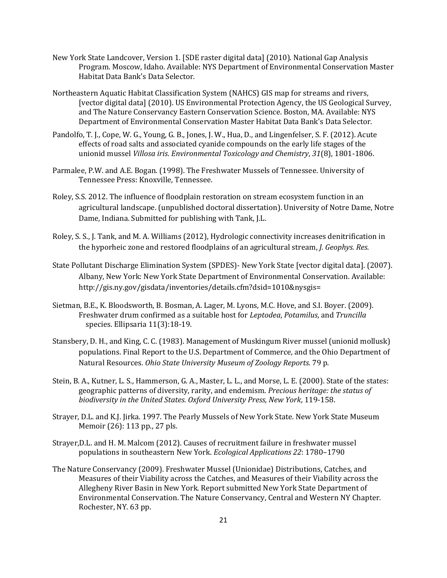- New York State Landcover, Version 1. [SDE raster digital data] (2010). National Gap Analysis Program. Moscow, Idaho. Available: NYS Department of Environmental Conservation Master Habitat Data Bank's Data Selector.
- Northeastern Aquatic Habitat Classification System (NAHCS) GIS map for streams and rivers, [vector digital data] (2010). US Environmental Protection Agency, the US Geological Survey, and The Nature Conservancy Eastern Conservation Science. Boston, MA. Available: NYS Department of Environmental Conservation Master Habitat Data Bank's Data Selector.
- Pandolfo, T. J., Cope, W. G., Young, G. B., Jones, J. W., Hua, D., and Lingenfelser, S. F. (2012). Acute effects of road salts and associated cyanide compounds on the early life stages of the unionid mussel *Villosa iris*. *Environmental Toxicology and Chemistry*, *31*(8), 1801-1806.
- Parmalee, P.W. and A.E. Bogan. (1998). The Freshwater Mussels of Tennessee. University of Tennessee Press: Knoxville, Tennessee.
- Roley, S.S. 2012. The influence of floodplain restoration on stream ecosystem function in an agricultural landscape. (unpublished doctoral dissertation). University of Notre Dame, Notre Dame, Indiana. Submitted for publishing with Tank, J.L.
- Roley, S. S., J. Tank, and M. A. Williams (2012), Hydrologic connectivity increases denitrification in the hyporheic zone and restored floodplains of an agricultural stream, *J. Geophys. Res.*
- State Pollutant Discharge Elimination System (SPDES)- New York State [vector digital data]. (2007). Albany, New York: New York State Department of Environmental Conservation. Available: [http://gis.ny.gov/gisdata/inventories/details.cfm?dsid=1010&nysgis=](http://gis.ny.gov/gisdata/inventories/details.cfm?dsid=1010&nysgis)
- Sietman, B.E., K. Bloodsworth, B. Bosman, A. Lager, M. Lyons, M.C. Hove, and S.I. Boyer. (2009). Freshwater drum confirmed as a suitable host for *Leptodea*, *Potamilus*, and *Truncilla* species. Ellipsaria 11(3):18-19.
- Stansbery, D. H., and King, C. C. (1983). Management of Muskingum River mussel (unionid mollusk) populations. Final Report to the U.S. Department of Commerce, and the Ohio Department of Natural Resources. *Ohio State University Museum of Zoology Reports*. 79 p.
- Stein, B. A., Kutner, L. S., Hammerson, G. A., Master, L. L., and Morse, L. E. (2000). State of the states: geographic patterns of diversity, rarity, and endemism. *Precious heritage: the status of biodiversity in the United States. Oxford University Press, New York*, 119-158.
- Strayer, D.L. and K.J. Jirka. 1997. The Pearly Mussels of New York State. New York State Museum Memoir (26): 113 pp., 27 pls.
- Strayer,D.L. and H. M. Malcom (2012). Causes of recruitment failure in freshwater mussel populations in southeastern New York. *Ecological Applications 22*: 1780–1790
- The Nature Conservancy (2009). Freshwater Mussel (Unionidae) Distributions, Catches, and Measures of their Viability across the Catches, and Measures of their Viability across the Allegheny River Basin in New York. Report submitted New York State Department of Environmental Conservation. The Nature Conservancy, Central and Western NY Chapter. Rochester, NY. 63 pp.